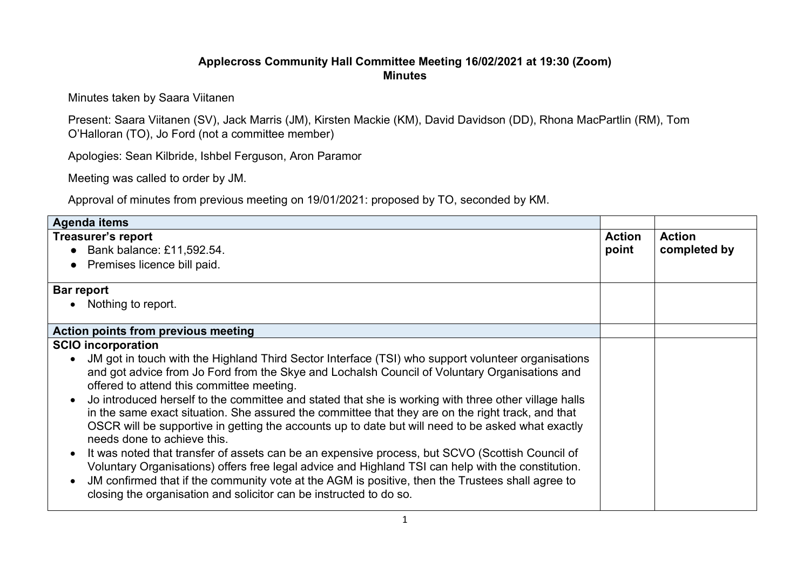## **Applecross Community Hall Committee Meeting 16/02/2021 at 19:30 (Zoom) Minutes**

Minutes taken by Saara Viitanen

Present: Saara Viitanen (SV), Jack Marris (JM), Kirsten Mackie (KM), David Davidson (DD), Rhona MacPartlin (RM), Tom O'Halloran (TO), Jo Ford (not a committee member)

Apologies: Sean Kilbride, Ishbel Ferguson, Aron Paramor

Meeting was called to order by JM.

Approval of minutes from previous meeting on 19/01/2021: proposed by TO, seconded by KM.

| Agenda items                                                                                                                                                                                                                                                                                                                                                                                              |                        |                               |
|-----------------------------------------------------------------------------------------------------------------------------------------------------------------------------------------------------------------------------------------------------------------------------------------------------------------------------------------------------------------------------------------------------------|------------------------|-------------------------------|
| <b>Treasurer's report</b><br>Bank balance: £11,592.54.                                                                                                                                                                                                                                                                                                                                                    | <b>Action</b><br>point | <b>Action</b><br>completed by |
| Premises licence bill paid.                                                                                                                                                                                                                                                                                                                                                                               |                        |                               |
| Bar report                                                                                                                                                                                                                                                                                                                                                                                                |                        |                               |
| Nothing to report.                                                                                                                                                                                                                                                                                                                                                                                        |                        |                               |
| Action points from previous meeting                                                                                                                                                                                                                                                                                                                                                                       |                        |                               |
| <b>SCIO</b> incorporation                                                                                                                                                                                                                                                                                                                                                                                 |                        |                               |
| JM got in touch with the Highland Third Sector Interface (TSI) who support volunteer organisations<br>and got advice from Jo Ford from the Skye and Lochalsh Council of Voluntary Organisations and<br>offered to attend this committee meeting.                                                                                                                                                          |                        |                               |
| Jo introduced herself to the committee and stated that she is working with three other village halls<br>$\bullet$<br>in the same exact situation. She assured the committee that they are on the right track, and that<br>OSCR will be supportive in getting the accounts up to date but will need to be asked what exactly<br>needs done to achieve this.                                                |                        |                               |
| It was noted that transfer of assets can be an expensive process, but SCVO (Scottish Council of<br>$\bullet$<br>Voluntary Organisations) offers free legal advice and Highland TSI can help with the constitution.<br>JM confirmed that if the community vote at the AGM is positive, then the Trustees shall agree to<br>$\bullet$<br>closing the organisation and solicitor can be instructed to do so. |                        |                               |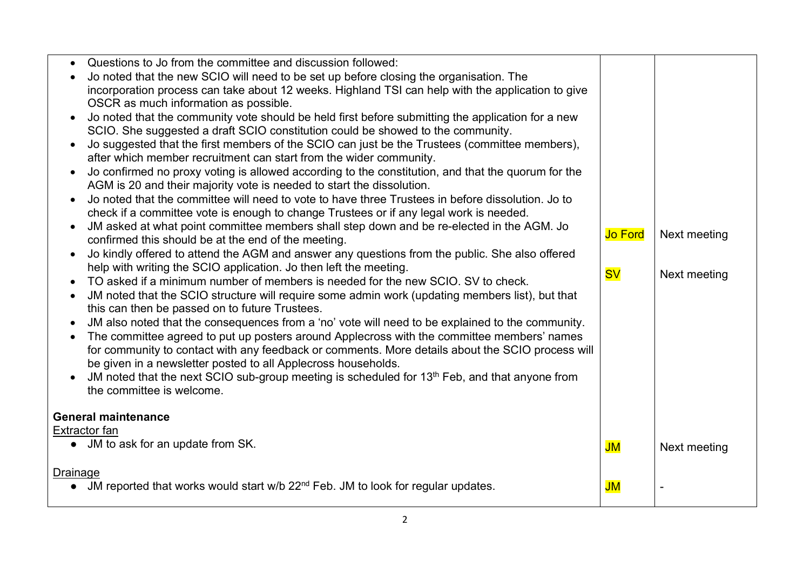|                                       | Questions to Jo from the committee and discussion followed:                                               |                |              |
|---------------------------------------|-----------------------------------------------------------------------------------------------------------|----------------|--------------|
|                                       | Jo noted that the new SCIO will need to be set up before closing the organisation. The                    |                |              |
|                                       | incorporation process can take about 12 weeks. Highland TSI can help with the application to give         |                |              |
| OSCR as much information as possible. |                                                                                                           |                |              |
|                                       | Jo noted that the community vote should be held first before submitting the application for a new         |                |              |
|                                       | SCIO. She suggested a draft SCIO constitution could be showed to the community.                           |                |              |
|                                       | Jo suggested that the first members of the SCIO can just be the Trustees (committee members),             |                |              |
|                                       | after which member recruitment can start from the wider community.                                        |                |              |
|                                       | Jo confirmed no proxy voting is allowed according to the constitution, and that the quorum for the        |                |              |
|                                       | AGM is 20 and their majority vote is needed to start the dissolution.                                     |                |              |
|                                       | Jo noted that the committee will need to vote to have three Trustees in before dissolution. Jo to         |                |              |
|                                       | check if a committee vote is enough to change Trustees or if any legal work is needed.                    |                |              |
|                                       | JM asked at what point committee members shall step down and be re-elected in the AGM. Jo                 |                |              |
|                                       | confirmed this should be at the end of the meeting.                                                       | <b>Jo Ford</b> | Next meeting |
|                                       | Jo kindly offered to attend the AGM and answer any questions from the public. She also offered            |                |              |
|                                       | help with writing the SCIO application. Jo then left the meeting.                                         | <b>SV</b>      | Next meeting |
|                                       | TO asked if a minimum number of members is needed for the new SCIO. SV to check.                          |                |              |
|                                       | JM noted that the SCIO structure will require some admin work (updating members list), but that           |                |              |
|                                       | this can then be passed on to future Trustees.                                                            |                |              |
|                                       | JM also noted that the consequences from a 'no' vote will need to be explained to the community.          |                |              |
|                                       | The committee agreed to put up posters around Applecross with the committee members' names                |                |              |
|                                       | for community to contact with any feedback or comments. More details about the SCIO process will          |                |              |
|                                       | be given in a newsletter posted to all Applecross households.                                             |                |              |
|                                       | JM noted that the next SCIO sub-group meeting is scheduled for 13 <sup>th</sup> Feb, and that anyone from |                |              |
| the committee is welcome.             |                                                                                                           |                |              |
|                                       |                                                                                                           |                |              |
| <b>General maintenance</b>            |                                                                                                           |                |              |
| Extractor fan                         |                                                                                                           |                |              |
| • JM to ask for an update from SK.    |                                                                                                           | JM             | Next meeting |
|                                       |                                                                                                           |                |              |
| <u>Drainage</u>                       | JM reported that works would start w/b 22 <sup>nd</sup> Feb. JM to look for regular updates.              | JM             |              |
|                                       |                                                                                                           |                |              |
|                                       |                                                                                                           |                |              |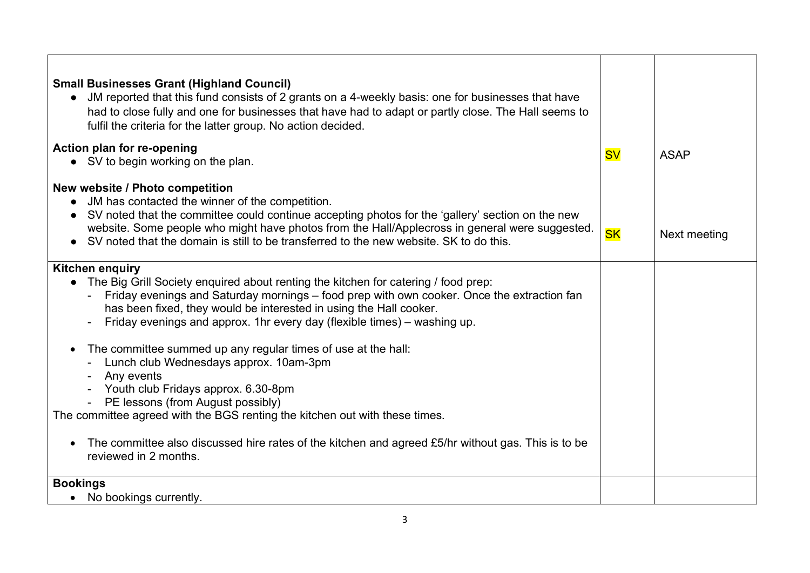| <b>Small Businesses Grant (Highland Council)</b><br>JM reported that this fund consists of 2 grants on a 4-weekly basis: one for businesses that have<br>had to close fully and one for businesses that have had to adapt or partly close. The Hall seems to<br>fulfil the criteria for the latter group. No action decided.                                                                                                                                                                                                                                                                                                                                                                                                                                                                   |           |              |
|------------------------------------------------------------------------------------------------------------------------------------------------------------------------------------------------------------------------------------------------------------------------------------------------------------------------------------------------------------------------------------------------------------------------------------------------------------------------------------------------------------------------------------------------------------------------------------------------------------------------------------------------------------------------------------------------------------------------------------------------------------------------------------------------|-----------|--------------|
| Action plan for re-opening<br>• SV to begin working on the plan.                                                                                                                                                                                                                                                                                                                                                                                                                                                                                                                                                                                                                                                                                                                               | <b>SV</b> | <b>ASAP</b>  |
| New website / Photo competition<br>JM has contacted the winner of the competition.<br>SV noted that the committee could continue accepting photos for the 'gallery' section on the new<br>website. Some people who might have photos from the Hall/Applecross in general were suggested.<br>SV noted that the domain is still to be transferred to the new website. SK to do this.                                                                                                                                                                                                                                                                                                                                                                                                             | <b>SK</b> | Next meeting |
| <b>Kitchen enquiry</b><br>• The Big Grill Society enquired about renting the kitchen for catering / food prep:<br>Friday evenings and Saturday mornings – food prep with own cooker. Once the extraction fan<br>has been fixed, they would be interested in using the Hall cooker.<br>Friday evenings and approx. 1hr every day (flexible times) – washing up.<br>The committee summed up any regular times of use at the hall:<br>$\bullet$<br>Lunch club Wednesdays approx. 10am-3pm<br>Any events<br>Youth club Fridays approx. 6.30-8pm<br>PE lessons (from August possibly)<br>The committee agreed with the BGS renting the kitchen out with these times.<br>The committee also discussed hire rates of the kitchen and agreed £5/hr without gas. This is to be<br>reviewed in 2 months. |           |              |
| <b>Bookings</b><br>No bookings currently.                                                                                                                                                                                                                                                                                                                                                                                                                                                                                                                                                                                                                                                                                                                                                      |           |              |